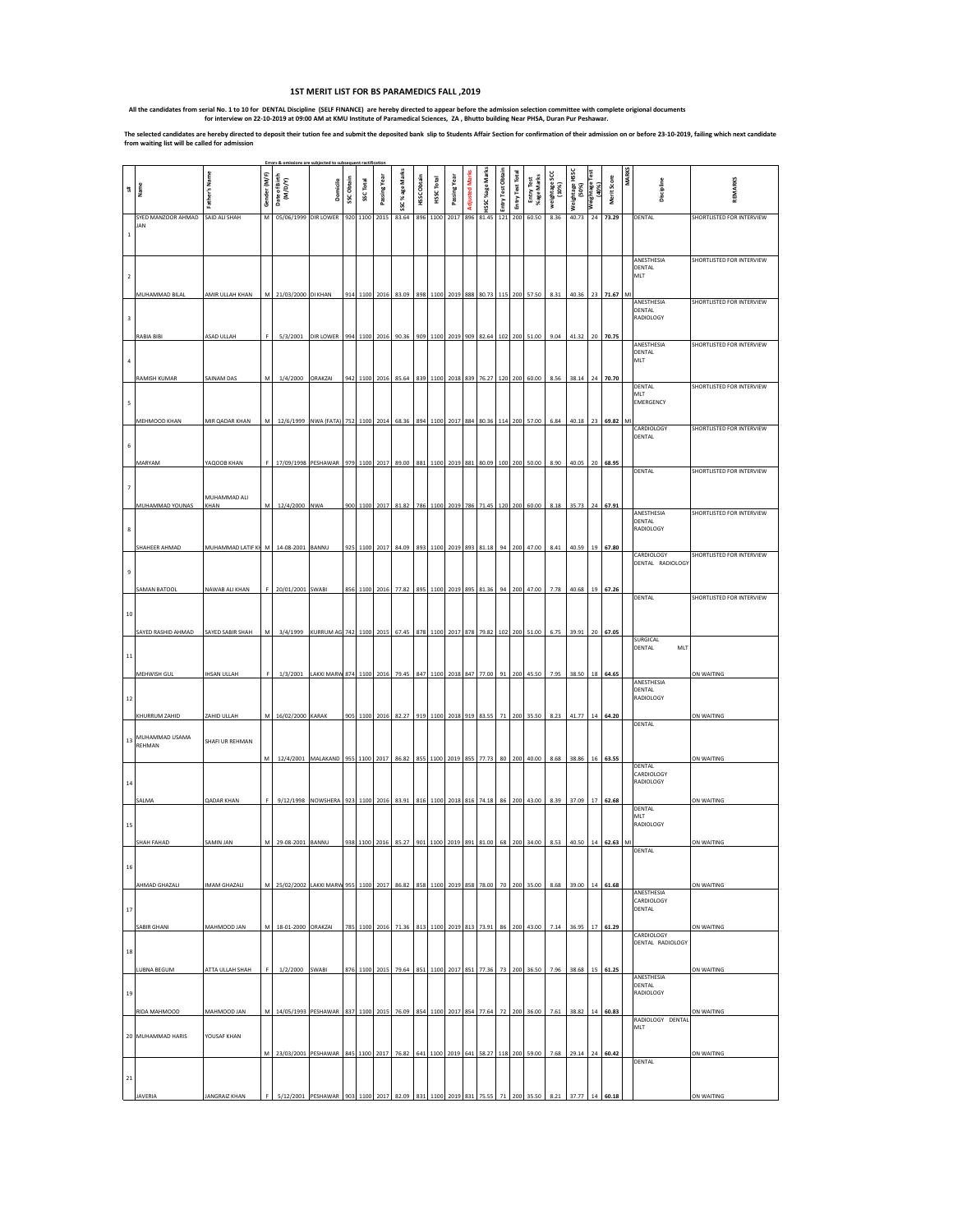## **1ST MERIT LIST FOR BS PARAMEDICS FALL ,2019**

All the candidates from serial No. 1 to 10 for DENTAL Discipline (SELF FINANCE) are hereby directed to appear before the admission selection committee with complete origional documents for interview on 22-10-2019 at 09:00

The selected candidates are hereby directed to deposit their tution fee and submit the deposited bank slip to Students Affair Section for confirmation of their admission on or before 23-10-2019, failing which next candidat

|         | Name                            | Father's Name        | Gender (M/F) | Date of Birth<br>(M/D/Y)                                                                            | Domicile                                                         | SSC Obtain | SSC Total | Passing Yea   | SSC% age Marks                              | HSSC Obtair | HSSC Total | Passing Yea       | <b>Adjusted Mar</b> | HSSC %age Mar | Entry Test Obta | Entry Test Tota | Entry Test<br>%age Marks | weightage SCC<br>(10%) | Weightage HSSC<br>(50%) | weightage"<br>(40%) | Merit Score | <b>MARKS</b> | Discipline                           | REMARKS                   |
|---------|---------------------------------|----------------------|--------------|-----------------------------------------------------------------------------------------------------|------------------------------------------------------------------|------------|-----------|---------------|---------------------------------------------|-------------|------------|-------------------|---------------------|---------------|-----------------|-----------------|--------------------------|------------------------|-------------------------|---------------------|-------------|--------------|--------------------------------------|---------------------------|
| $\,1\,$ | SYED MANZOOR AHMAD<br>JAN       | SAID ALI SHAH        | M            | 05/06/1999                                                                                          | DIR LOWER                                                        |            | 920 1100  | 2015          | 83.64                                       | 896         | 1100       | 2017              | 896                 | 81.45         | 121             | 200             | 60.50                    | 8.36                   | 40.73                   | 24                  | 73.29       |              | <b>DENTAL</b>                        | SHORTLISTED FOR INTERVIEW |
|         |                                 |                      |              |                                                                                                     |                                                                  |            |           |               |                                             |             |            |                   |                     |               |                 |                 |                          |                        |                         |                     |             |              | ANESTHESIA<br>DENTAL<br>MLT          | SHORTLISTED FOR INTERVIEW |
| 3       | MUHAMMAD BILAL                  | AMIR ULLAH KHAN      |              | M 21/03/2000 DI KHAN                                                                                |                                                                  |            |           | 914 1100 2016 | 83.09                                       | 898         |            | 1100 2019 888     |                     | 80.73         |                 | 115 200         | 57.50                    | 8.31                   | 40.36                   | 23                  | 71.67       |              | ANESTHESIA<br>DENTAL<br>RADIOLOGY    | SHORTLISTED FOR INTERVIEW |
|         | RABIA BIBI                      | ASAD ULLAH           | F.           |                                                                                                     | 5/3/2001 DIR LOWER 994 1100 2016 90.36 909 1100 2019 909 82.64   |            |           |               |                                             |             |            |                   |                     |               |                 |                 | 102 200 51.00            | 9.04                   | 41.32                   |                     | 20 70.75    |              | ANESTHESIA                           | SHORTLISTED FOR INTERVIEW |
|         | RAMISH KUMAR                    | SAINAM DAS           | M            | 1/4/2000 ORAKZAI                                                                                    |                                                                  |            |           | 942 1100 2016 | 85.64                                       |             |            | 839 1100 2018 839 |                     | 76.27         |                 |                 | 120 200 60.00            | 8.56                   | 38.14                   | 24                  | 70.70       |              | DENTAL<br><b>MLT</b><br>DENTAL       | SHORTLISTED FOR INTERVIEW |
| 5       | MEHMOOD KHAN                    | MIR QADAR KHAN       | M            |                                                                                                     | 12/6/1999 NWA (FATA) 752 1100 2014 68.36 894 1100 2017 884 80.36 |            |           |               |                                             |             |            |                   |                     |               |                 |                 | 114 200 57.00            | 6.84                   | 40.18                   |                     | 23 69.82 M  |              | MLT<br>EMERGENCY                     |                           |
|         |                                 |                      |              |                                                                                                     |                                                                  |            |           |               |                                             |             |            |                   |                     |               |                 |                 |                          |                        |                         |                     |             |              | CARDIOLOGY<br>DENTAL                 | SHORTLISTED FOR INTERVIEW |
|         | MARYAM                          | YAQOOB KHAN          |              |                                                                                                     | 17/09/1998 PESHAWAR 979 1100 2017 89.00 881 1100 2019 881 80.09  |            |           |               |                                             |             |            |                   |                     |               |                 |                 | 100 200 50.00            | 8.90                   | 40.05                   | 20                  | 68.95       |              | DENTAL                               | SHORTLISTED FOR INTERVIEW |
| 7       | MUHAMMAD YOUNAS                 | MUHAMMAD ALI<br>KHAN | M            | 12/4/2000 NWA                                                                                       |                                                                  |            |           |               | 900 1100 2017 81.82 786 1100 2019 786 71.45 |             |            |                   |                     |               |                 |                 | 120 200 60.00            | 8.18                   | 35.73                   | 24                  | 67.91       |              | ANESTHESIA                           | SHORTLISTED FOR INTERVIEW |
| 8       |                                 |                      |              |                                                                                                     |                                                                  |            |           |               |                                             |             |            |                   |                     |               |                 |                 |                          |                        |                         |                     |             |              | DENTAL<br>RADIOLOGY                  |                           |
| 9       | SHAHEER AHMAD                   | MUHAMMAD LATIF KH M  |              | 14-08-2001 BANNU                                                                                    |                                                                  |            |           | 925 1100 2017 | 84.09                                       | 893         |            | 1100 2019 893     |                     | 81.18         | 94              |                 | 200 47.00                | 8.41                   | 40.59                   | 19                  | 67.80       |              | CARDIOLOGY<br>DENTAL RADIOLOGY       | SHORTLISTED FOR INTERVIEW |
|         | SAMAN BATOOL                    | NAWAB ALI KHAN       | F            | 20/01/2001 SWABI                                                                                    |                                                                  |            |           | 856 1100 2016 | 77.82 895 1100 2019 895 81.36               |             |            |                   |                     |               |                 |                 | 94 200 47.00             | 7.78                   | 40.68                   |                     | 19 67.26    |              |                                      |                           |
| 10      |                                 |                      |              |                                                                                                     |                                                                  |            |           |               |                                             |             |            |                   |                     |               |                 |                 |                          |                        |                         |                     |             |              | DENTAL                               | SHORTLISTED FOR INTERVIEW |
|         | <b>SAYED RASHID AHMAD</b>       | SAYED SABIR SHAH     | M            |                                                                                                     | 3/4/1999 KURRUM AG 742 1100 2015                                 |            |           |               | 67.45 878                                   |             |            | 1100 2017 878     |                     | 79.82         |                 |                 | 102 200 51.00            | 6.75                   | 39.91                   | 20                  | 67.05       |              | SURGICAL<br>DENTAL<br>MLT            |                           |
| $11\,$  | <b>MEHWISH GUL</b>              | <b>IHSAN ULLAH</b>   |              | 1/3/2001                                                                                            | <b>LAKKI MARV</b>                                                | 874        |           |               | 79.45                                       |             |            |                   |                     |               |                 | 200             | 45.50                    | 7.95                   | 38.50                   | 18                  | 64.65       |              | ANESTHESIA                           | ON WAITING                |
| 12      | KHURRUM ZAHID                   | ZAHID ULLAH          |              | M 16/02/2000 KARAK                                                                                  |                                                                  |            |           | 905 1100 2016 | 82.27 919 1100 2018 919 83.55               |             |            |                   |                     |               | 71              |                 | 200 35.50                | 8.23                   | 41.77                   | 14                  | 64.20       |              | DENTAL<br>RADIOLOGY<br><b>DENTAL</b> | ON WAITING                |
| 13      | MUHAMMAD USAMA<br><b>REHMAN</b> | SHAFI UR REHMAN      |              |                                                                                                     | 12/4/2001 MALAKAND 955 1100 2017 86.82 855 1100 2019 855         |            |           |               |                                             |             |            |                   |                     | 77.73         |                 |                 | 80 200 40.00             | 8.68                   | 38.86                   | 16                  | 63.55       |              |                                      | ON WAITING                |
| 14      | <b>SALMA</b>                    | <b>QADAR KHAN</b>    |              |                                                                                                     | 9/12/1998 NOWSHERA                                               | 923        | 1100      | 2016          | 83.91                                       | 816         | 1100       | 2018              | 816                 | 74.18         | 86              | 200             | 43.00                    | 8.39                   | 37.09                   | 17                  | 62.68       |              | DENTAL<br>CARDIOLOGY<br>RADIOLOGY    | ON WAITING                |
| 15      |                                 |                      |              |                                                                                                     |                                                                  |            |           |               |                                             |             |            |                   |                     |               |                 |                 |                          |                        |                         |                     |             |              | DENTAL<br>MLT<br>RADIOLOGY           |                           |
|         | SHAH FAHAD                      | SAMIN JAN            |              | 29-08-2001 BANNU                                                                                    |                                                                  | 938        | 1100      | 2016          | 85.27                                       | 901         | 1100       | 2019              | 891                 | 81.00         | 68              | 200             | 34.00                    | 8.53                   | 40.50                   | 14                  | 62.63       |              | DENTAL                               | ON WAITING                |
| 16      | AHMAD GHAZALI                   | <b>IMAM GHAZALI</b>  | M            | 25/02/2002 LAKKI MARW 955 1100 2017 86.82 858 1100 2019 858 78.00                                   |                                                                  |            |           |               |                                             |             |            |                   |                     |               | 70              | 200             | 35.00                    | 8.68                   | 39.00                   | 14                  | 61.68       |              | ANESTHESIA                           | ON WAITING                |
| 17      | SABIR GHANI                     | <b>MAHMOOD JAN</b>   | M            | 18-01-2000 ORAKZAI                                                                                  |                                                                  | 785        | 1100      | 2016          | 71.36                                       | 813         | 1100       | 2019              | 813                 | 73.91         | 86              | 200             | 43.00                    | 7.14                   | 36.95                   | 17                  | 61.29       |              | CARDIOLOGY<br>DENTAL                 | ON WAITING                |
| 18      |                                 |                      | F            |                                                                                                     |                                                                  |            |           |               | 876 1100 2015 79.64 851 1100 2017 851 77.36 |             |            |                   |                     |               |                 |                 |                          |                        |                         |                     |             |              | CARDIOLOGY<br>DENTAL RADIOLOGY       |                           |
| 19      | <b>LUBNA BEGUM</b>              | ATTA ULLAH SHAH      |              | 1/2/2000 SWABI                                                                                      |                                                                  |            |           |               |                                             |             |            |                   |                     |               |                 |                 | 73 200 36.50             | 7.96                   | 38.68                   |                     | 15 61.25    |              | ANESTHESIA<br>DENTAL<br>RADIOLOGY    | ON WAITING                |
|         | RIDA MAHMOOD                    | <b>MAHMOOD JAN</b>   |              | M 14/05/1993 PESHAWAR 837 1100 2015 76.09 854 1100 2017 854 77.64                                   |                                                                  |            |           |               |                                             |             |            |                   |                     |               |                 |                 | 72 200 36.00             | 7.61                   | 38.82                   |                     | 14 60.83    |              | RADIOLOGY DENTAL                     | ON WAITING                |
|         | 20 MUHAMMAD HARIS               | YOUSAF KHAN          |              | M 23/03/2001 PESHAWAR 845 1100 2017 76.82 641 1100 2019 641 58.27 118 200 59.00 7.68 29.14 24 60.42 |                                                                  |            |           |               |                                             |             |            |                   |                     |               |                 |                 |                          |                        |                         |                     |             |              | MLT                                  | ON WAITING                |
| 21      | <b>JAVERIA</b>                  | JANGRAIZ KHAN        |              |                                                                                                     | 5/12/2001 PESHAWAR 903 1100 2017 82.09 831 1100 2019 831         |            |           |               |                                             |             |            |                   |                     | 75.55         | 71              |                 | 200 35.50                | 8.21                   | 37.77                   | $14\,$              | 60.18       |              | DENTAL                               | ON WAITING                |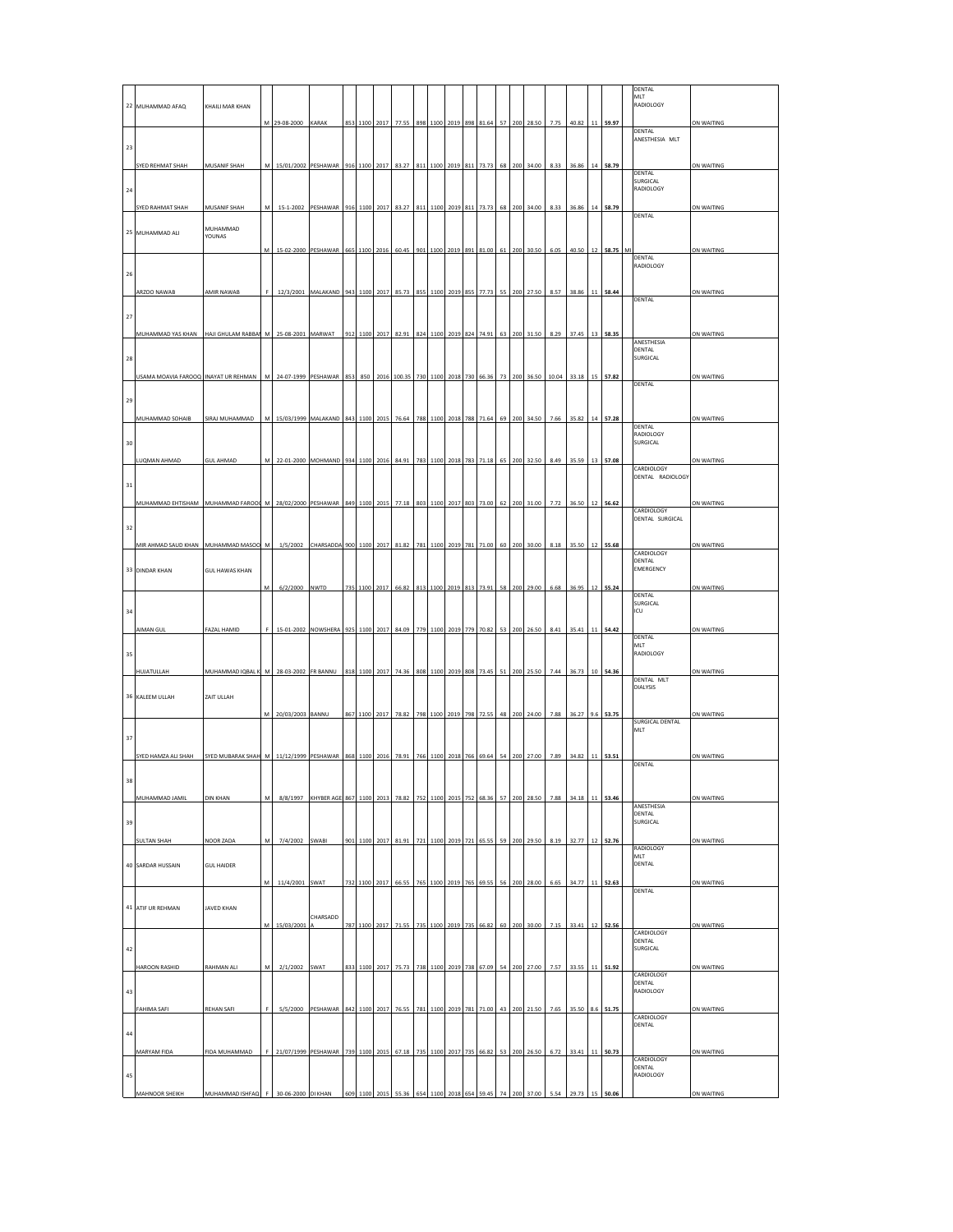|              | 22 MUHAMMAD AFAQ                     | KHAILI MAR KHAN                                                                                                                                        |           |                                                                |                                           |     |               |      |                                             |     |      |           |     |                         |     |     |                                  |      |                      |    |          | DENTAL<br>MLT<br>RADIOLOGY        |                   |
|--------------|--------------------------------------|--------------------------------------------------------------------------------------------------------------------------------------------------------|-----------|----------------------------------------------------------------|-------------------------------------------|-----|---------------|------|---------------------------------------------|-----|------|-----------|-----|-------------------------|-----|-----|----------------------------------|------|----------------------|----|----------|-----------------------------------|-------------------|
|              |                                      |                                                                                                                                                        |           | M 29-08-2000 KARAK                                             |                                           |     |               |      | 853 1100 2017 77.55                         |     |      |           |     | 898 1100 2019 898 81.64 |     |     | 57 200 28.50                     |      | 7.75 40.82 11 59.97  |    |          |                                   | ON WAITING        |
| 23           |                                      |                                                                                                                                                        |           |                                                                |                                           |     |               |      |                                             |     |      |           |     |                         |     |     |                                  |      |                      |    |          | DENTAL<br>ANESTHESIA MLT          |                   |
|              | SYED REHMAT SHAH                     | <b>MUSANIF SHAH</b>                                                                                                                                    | M         | 15/01/2002 PESHAWAR                                            |                                           |     | 916 1100 2017 |      | 83.27                                       | 811 | 1100 | 2019      | 811 | 73.73                   | 68  | 200 | 34.00                            | 8.33 | 36.86                | 14 | 58.79    |                                   | ON WAITING        |
|              |                                      |                                                                                                                                                        |           |                                                                |                                           |     |               |      |                                             |     |      |           |     |                         |     |     |                                  |      |                      |    |          | DENTAL<br>SURGICAL                |                   |
| $\bf{^{24}}$ |                                      |                                                                                                                                                        |           |                                                                |                                           |     |               |      |                                             |     |      |           |     |                         |     |     |                                  |      |                      |    |          | RADIOLOGY                         |                   |
|              | SYED RAHMAT SHAH                     | <b>MUSANIF SHAH</b>                                                                                                                                    | M         | 15-1-2002 PESHAWAR 916 1100 2017 83.27 811 1100 2019 811 73.73 |                                           |     |               |      |                                             |     |      |           |     |                         |     |     | 68 200 34.00                     |      | 8.33 36.86 14 58.79  |    |          | DENTAL                            | ON WAITING        |
|              | 25 MUHAMMAD ALI                      | MUHAMMAD<br>YOUNAS                                                                                                                                     |           |                                                                |                                           |     |               |      |                                             |     |      |           |     |                         |     |     |                                  |      |                      |    |          |                                   |                   |
|              |                                      |                                                                                                                                                        | M         | 15-02-2000 PESHAWAR                                            |                                           |     | 665 1100 2016 |      | 60.45                                       | 901 | 1100 | 2019      | 891 | 81.00                   | 61  | 200 | 30.50                            | 6.05 | 40.50                | 12 | 58.75    | M<br>DENTAL                       | ON WAITING        |
| 26           |                                      |                                                                                                                                                        |           |                                                                |                                           |     |               |      |                                             |     |      |           |     |                         |     |     |                                  |      |                      |    |          | RADIOLOGY                         |                   |
|              | ARZOO NAWAB                          | <b>AMIR NAWAB</b>                                                                                                                                      |           | 12/3/2001 MALAKAND                                             |                                           | 943 | 1100 2017     |      | 85.73                                       | 855 | 1100 | 2019      | 855 | 77.73                   | 55  |     | 200 27.50                        | 8.57 | 38.86                |    | 11 58.44 | DENTAL                            | <b>ON WAITING</b> |
| 27           |                                      |                                                                                                                                                        |           |                                                                |                                           |     |               |      |                                             |     |      |           |     |                         |     |     |                                  |      |                      |    |          |                                   |                   |
|              | MUHAMMAD YAS KHAN                    | HAJI GHULAM RABBAI M                                                                                                                                   |           | 25-08-2001 MARWAT                                              |                                           |     |               |      | 912 1100 2017 82.91                         |     |      |           |     | 824 1100 2019 824 74.91 |     |     | 63 200 31.50                     | 8.29 | 37.45                | 13 | 58.35    |                                   | ON WAITING        |
| 28           |                                      |                                                                                                                                                        |           |                                                                |                                           |     |               |      |                                             |     |      |           |     |                         |     |     |                                  |      |                      |    |          | ANESTHESIA<br>DENTAL<br>SURGICAL  |                   |
|              | USAMA MOAVIA FAROOQ INAYAT UR REHMAN |                                                                                                                                                        | ${\sf M}$ | 24-07-1999 PESHAWAR 853                                        |                                           |     |               |      | 850 2016 100.35                             |     |      |           |     | 730 1100 2018 730 66.36 | 73  |     | 200 36.50                        |      | 10.04 33.18 15 57.82 |    |          |                                   | ON WAITING        |
|              |                                      |                                                                                                                                                        |           |                                                                |                                           |     |               |      |                                             |     |      |           |     |                         |     |     |                                  |      |                      |    |          | DENTAL                            |                   |
| 29           |                                      |                                                                                                                                                        |           |                                                                |                                           |     |               |      |                                             |     |      |           |     |                         |     |     |                                  |      |                      |    |          |                                   |                   |
|              | MUHAMMAD SOHAIB                      | SIRAJ MUHAMMAD                                                                                                                                         | M         | 15/03/1999 MALAKAND                                            |                                           |     |               |      | 76.6                                        |     |      |           | 788 | 71.64                   |     |     | 34.50                            | 7.66 | 35.8                 |    | 57.28    | DENTAL<br>RADIOLOGY               | ON WAITING        |
| 30           |                                      |                                                                                                                                                        |           |                                                                |                                           |     |               |      |                                             |     |      |           |     |                         |     |     |                                  |      |                      |    |          | SURGICAL                          |                   |
|              | LUQMAN AHMAD                         | <b>GUL AHMAD</b>                                                                                                                                       | M         | 22-01-2000 MOHMAND                                             |                                           |     | 934 1100 2016 |      | 84.91                                       | 783 |      |           |     | 1100 2018 783 71.18     |     |     | 65 200 32.50                     | 8.49 | 35.59                | 13 | 57.08    | CARDIOLOGY                        | ON WAITING        |
| 31           |                                      |                                                                                                                                                        |           |                                                                |                                           |     |               |      |                                             |     |      |           |     |                         |     |     |                                  |      |                      |    |          | DENTAL RADIOLOGY                  |                   |
|              | MUHAMMAD EHTISHAM MUHAMMAD FAROOL M  |                                                                                                                                                        |           | 28/02/2000 PESHAWAR 849 1100 2015                              |                                           |     |               |      | 77.18                                       | 803 | 1100 |           |     | 2017 803 73.00          | 62  |     | 200 31.00                        | 7.72 | 36.50                | 12 | 56.62    | CARDIOLOGY                        | ON WAITING        |
| 32           |                                      |                                                                                                                                                        |           |                                                                |                                           |     |               |      |                                             |     |      |           |     |                         |     |     |                                  |      |                      |    |          | DENTAL SURGICAL                   |                   |
|              | MIR AHMAD SAUD KHAN MUHAMMAD MASOO M |                                                                                                                                                        |           | 1/5/2002                                                       | CHARSADDA                                 | 900 | 1100          | 201  | 81.3                                        | 781 | 1100 | 201       | 78: | 71.00                   | -60 |     | 30.0                             |      | 35.                  |    | 55.68    |                                   | ON WAITING        |
|              |                                      |                                                                                                                                                        |           |                                                                |                                           |     |               |      |                                             |     |      |           |     |                         |     |     |                                  |      |                      |    |          | CARDIOLOGY<br>DENTAL<br>EMERGENCY |                   |
|              | 33 DINDAR KHAN                       | <b>GUL HAWAS KHAN</b>                                                                                                                                  | M         | 6/2/2000                                                       | NWTD                                      |     | 735 1100 2017 |      | 66.82                                       | 813 | 1100 | 2019      |     |                         | 58  | 200 |                                  |      |                      | 12 |          |                                   | ON WAITING        |
|              |                                      |                                                                                                                                                        |           |                                                                |                                           |     |               |      |                                             |     |      |           |     | 813 73.91               |     |     | 29.00                            | 6.68 | 36.95                |    | 55.24    | DENTAL<br>SURGICAL                |                   |
| 34           |                                      |                                                                                                                                                        |           |                                                                |                                           |     |               |      |                                             |     |      |           |     |                         |     |     |                                  |      |                      |    |          | ICU                               |                   |
|              | <b>AIMAN GUL</b>                     | FAZAL HAMID                                                                                                                                            |           | 15-01-2002 NOWSHERA                                            |                                           | 925 | 1100 2017     |      | 84.09                                       | 779 | 1100 | 2019      | 779 | 70.82                   | 53  | 200 | 26.50                            | 8.41 | 35.41                |    | 11 54.42 | DENTAL                            | ON WAITING        |
| 35           |                                      |                                                                                                                                                        |           |                                                                |                                           |     |               |      |                                             |     |      |           |     |                         |     |     |                                  |      |                      |    |          | MLT<br>RADIOLOGY                  |                   |
|              | HUJATULLAH                           | MUHAMMAD IQBAL K                                                                                                                                       | M         | 28-03-2002 FR BANNU                                            |                                           |     | 818 1100 2017 |      | 74.36                                       | 808 | 1100 | 2019      | 808 | 73.45                   |     | 200 | 25.50                            | 7.44 | 36.73                | 10 | 54.36    | DENTAL MLT                        | ON WAITING        |
|              | 36 KALEEM ULLAH                      | ZAIT ULLAH                                                                                                                                             |           |                                                                |                                           |     |               |      |                                             |     |      |           |     |                         |     |     |                                  |      |                      |    |          | DIALYSIS                          |                   |
|              |                                      |                                                                                                                                                        | M         | 20/03/2003 BANNU                                               |                                           |     | 867 1100 2017 |      | 78.82                                       | 798 |      |           |     | 1100 2019 798 72.55     |     |     | 48 200 24.00                     |      | 7.88 36.27 9.6 53.75 |    |          |                                   | ON WAITING        |
| 37           |                                      |                                                                                                                                                        |           |                                                                |                                           |     |               |      |                                             |     |      |           |     |                         |     |     |                                  |      |                      |    |          | SURGICAL DENTAL<br>MLT            |                   |
|              | SYED HAMZA ALI SHAH                  | SYED MUBARAK SHAH M   11/12/1999 PESHAWAR   868   1100   2016   78.91   766   1100   2018   766   69.64   54   200   27.00   7.89   34.82   11   53.51 |           |                                                                |                                           |     |               |      |                                             |     |      |           |     |                         |     |     |                                  |      |                      |    |          |                                   | ON WAITING        |
|              |                                      |                                                                                                                                                        |           |                                                                |                                           |     |               |      |                                             |     |      |           |     |                         |     |     |                                  |      |                      |    |          | DENTAL                            |                   |
|              |                                      |                                                                                                                                                        |           |                                                                |                                           |     |               |      |                                             |     |      |           |     |                         |     |     |                                  |      |                      |    |          |                                   |                   |
|              | MUHAMMAD JAMIL                       | <b>DIN KHAN</b>                                                                                                                                        | M         |                                                                | 8/8/1997 KHYBER AGE 867 1100 2013         |     |               |      | 78.82                                       | 752 |      | 1100 2015 |     | 752 68.36               | 57  |     | 200 28.50                        | 7.88 | 34.18                |    | 11 53.46 | ANESTHESIA<br>DENTAL              | ON WAITING        |
| 39           |                                      |                                                                                                                                                        |           |                                                                |                                           |     |               |      |                                             |     |      |           |     |                         |     |     |                                  |      |                      |    |          | SURGICAL                          |                   |
|              | <b>SULTAN SHAH</b>                   | NOOR ZADA                                                                                                                                              | M         | 7/4/2002 SWABI                                                 |                                           |     |               |      | 901 1100 2017 81.91 721 1100 2019 721 65.55 |     |      |           |     |                         |     |     | 59 200 29.50                     |      | 8.19 32.77 12 52.76  |    |          | <b>RADIOLOGY</b>                  | ON WAITING        |
|              | 40 SARDAR HUSSAIN                    | <b>GUL HAIDER</b>                                                                                                                                      |           |                                                                |                                           |     |               |      |                                             |     |      |           |     |                         |     |     |                                  |      |                      |    |          | <b>MLT</b><br>DENTAL              |                   |
|              |                                      |                                                                                                                                                        | М         | 11/4/2001 SWAT                                                 |                                           |     | 732 1100 2017 |      | 66.55                                       | 765 |      |           |     | 1100 2019 765 69.55     |     |     | 56 200 28.00                     | 6.65 | 34.77 11 52.63       |    |          | DENTAL                            | ON WAITING        |
|              | 41 ATIF UR REHMAN                    | <b>JAVED KHAN</b>                                                                                                                                      |           |                                                                |                                           |     |               |      |                                             |     |      |           |     |                         |     |     |                                  |      |                      |    |          |                                   |                   |
|              |                                      |                                                                                                                                                        | M         | 15/03/2001                                                     | CHARSADD                                  |     | 787 1100 2017 |      | 71.55                                       | 735 | 1100 | 2019      |     | 735 66.82               | 60  |     | 200 30.00                        | 7.15 | 33.41                |    | 12 52.56 |                                   | ON WAITING        |
| 42           |                                      |                                                                                                                                                        |           |                                                                |                                           |     |               |      |                                             |     |      |           |     |                         |     |     |                                  |      |                      |    |          | CARDIOLOGY<br>DENTAL<br>SURGICAL  |                   |
|              | HAROON RASHID                        | RAHMAN ALI                                                                                                                                             | M         | 2/1/2002 SWAT                                                  |                                           |     | 833 1100 2017 |      | 75.73                                       | 738 | 1100 |           |     | 2019 738 67.09          |     |     | 54 200 27.00                     | 7.57 | 33.55                |    | 11 51.92 |                                   | ON WAITING        |
|              |                                      |                                                                                                                                                        |           |                                                                |                                           |     |               |      |                                             |     |      |           |     |                         |     |     |                                  |      |                      |    |          | CARDIOLOGY<br>DENTAL              |                   |
| 43           |                                      |                                                                                                                                                        |           |                                                                |                                           |     |               |      |                                             |     |      |           |     |                         |     |     |                                  |      |                      |    |          | RADIOLOGY                         |                   |
|              | <b>FAHIMA SAFI</b>                   | <b>REHAN SAFI</b>                                                                                                                                      | F.        |                                                                | 5/5/2000 PESHAWAR 842 1100 2017 76.55 781 |     |               |      |                                             |     |      |           |     |                         |     |     | 1100 2019 781 71.00 43 200 21.50 |      | 7.65 35.50 8.6 51.75 |    |          | CARDIOLOGY<br>DENTAL              | ON WAITING        |
| 44           |                                      |                                                                                                                                                        |           |                                                                |                                           |     |               |      |                                             |     |      |           |     |                         |     |     |                                  |      |                      |    |          |                                   |                   |
|              | MARYAM FIDA                          | FIDA MUHAMMAD                                                                                                                                          | F.        | 21/07/1999 PESHAWAR                                            |                                           | 739 | 1100          | 2015 | 67.18                                       | 735 | 1100 | 2017      | 735 | 66.82                   | 53  | 200 | 26.50                            | 6.72 | 33.41                | 11 | 50.73    | CARDIOLOGY                        | ON WAITING        |
| 45           |                                      |                                                                                                                                                        |           |                                                                |                                           |     |               |      |                                             |     |      |           |     |                         |     |     |                                  |      |                      |    |          | DENTAL<br>RADIOLOGY               |                   |
|              | <b>MAHNOOR SHEIKH</b>                | MUHAMMAD ISHFAQ                                                                                                                                        | F         | 30-06-2000 DI KHAN                                             |                                           |     | 609 1100 2015 |      | 55.36                                       | 654 | 1100 | 2018      |     | 654 59.45               | 74  |     | 200 37.00                        |      | 5.54 29.73           |    | 15 50.06 |                                   | ON WAITING        |